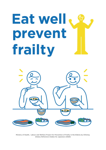# **Eat well prevent frailty**



Ministry of Health, Labour and Welfare Project for Prevention of Frailty in the Elderly by Utilizing *Dietary Reference Intakes for Japanese (2020)*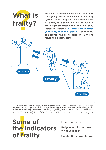

\*Frailty is positioned as a pre-disability (pre-care dependency) stage of a condition that requires nursing care, but refers to patients in a high-risk situation that can lead to various health disorders, including disability and mortality. Such patients are not only physically vulnerable, they also tend to suffer from a multitude of problems, such as mental, psychological, and social vulnerabilities.

 *Clinical Guide for Frailty 2018,* (The Japan Geriatrics Society and the National Center for Geriatrics and Gerontology, 2018)

the indicators **Fatigue and listlessness Some of of frailty** 

- Loss of appetite
- without reason
- Unintentional weight loss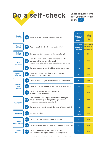

Check regularly until on the left.

| <b>Health</b><br>condition          | Q1         | What is your current state of health?                                                                                                      | Good<br><b>Somewhat</b><br>good<br><b>Normal</b> | Not so<br>good<br><b>Bad</b>                    |
|-------------------------------------|------------|--------------------------------------------------------------------------------------------------------------------------------------------|--------------------------------------------------|-------------------------------------------------|
| <b>Mental</b><br>health             | Q2         | Are you satisfied with your daily life?                                                                                                    | <b>Satisfied</b><br><b>Somewhat</b><br>satisfied | Somewhat<br>dissatisfied<br><b>Dissatisfied</b> |
| <b>Eating</b><br>habits             | Q3         | Do you eat three meals a day regularly?                                                                                                    | Yes                                              | <b>No</b>                                       |
| Oral<br>function                    | Q4         | Has it become difficult to eat hard foods<br>compared to six months ago?<br>Hard foods : dried shredded squid, pickled daikon takuan, etc. | <b>No</b>                                        | <b>Yes</b>                                      |
|                                     | Q5         | Do you choke when drinking water or soups?                                                                                                 | <b>No</b>                                        | <b>Yes</b>                                      |
| Weight<br>change                    | Q6         | Have you lost more than 2 to 3 kg over<br>a period of six months?                                                                          | <b>No</b>                                        | <b>Yes</b>                                      |
| <b>Exercise</b><br>and<br>falling   | Q7         | Does it feel like you walk slower than before?                                                                                             | <b>No</b>                                        | <b>Yes</b>                                      |
|                                     | Q8         | Have you experienced a fall over the last year?                                                                                            | <b>No</b>                                        | <b>Yes</b>                                      |
|                                     | Q9         | Do you exercise, such as walking,<br>at least once a week?                                                                                 | <b>Yes</b>                                       | <b>No</b>                                       |
| <b>Cognitive</b><br><b>function</b> | Q10        | Has anyone around you mentioned that you<br>have a tendency to forget things, such as<br>repeating the same question?                      | <b>No</b>                                        | <b>Yes</b>                                      |
|                                     | <b>Q11</b> | Do you ever lose track of the day of the month?                                                                                            | No.                                              | <b>Yes</b>                                      |
| <b>Smoking</b>                      |            | Q12 Do you smoke?                                                                                                                          | <b>No</b><br>I quit                              | <b>Yes</b>                                      |
| <b>Social</b><br>participation      | <b>Q13</b> | Do you go out at least once a week?                                                                                                        | <b>Yes</b>                                       | <b>No</b>                                       |
|                                     | Q14        | Do you usually interact with your family or friends?                                                                                       | <b>Yes</b>                                       | <b>No</b>                                       |
| <b>Social</b><br>support            | Q15        | Do you have someone nearby whom<br>you can talk to if you are not feeling well?                                                            | <b>Yes</b>                                       | <b>No</b>                                       |

Source : *Guidelines for Healthcare Project Based on Characteristics of the Elderly 2nd Edition,* Ministry of Health, Labor and Welfare (October 2019)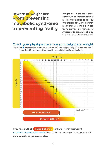### **From preventing metabolic syndrome to preventing frailty Beware of weight loss**

Weight loss in late-life is associated with an increased risk of mortality compared to obesity. Weight loss at 65 or older may mean that you should switch from preventing metabolic syndrome to preventing frailty. \*Start by consulting with your family doctor.

#### Check your physique based on your height and weight

(E.g.) The  $\star$  represents a man who is 166-cm tall and weighs 56kg. This person's BMI is lower than 21.5 kg/m<sup>2</sup>, so they should be careful of frailty particularly.



If you have a BMI of under 21.5kg/m<sup>2</sup>, or have recently lost weight, you should be particularly careful. Even if this does not apply to you, you are still prone to frailty as you become older.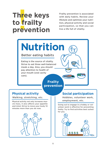### **Three keys to frailty prevention**

Frailty prevention is associated with daily habits. Review your lifestyle and optimize your nutrition, physical activity and social participation, so that you can live a life full of vitality.

## **Nutrition**

#### Better eating habits

Eating is the source of vitality. Strive to eat three well-balanced meals a day. Also, you should pay attention to health of your mouth (oral cavity care).

> **Frailty prevention**

Physical activity not only increases muscle mass, it also affects your appetite and mind. Strive to move your body 10 minutes more than you do now.



#### **Physical activity Social participation**

Walking, stretching, etc.  $\|\cdot\|$  Hobbies, volunteer work, employment, etc.

> Going out to engage in a hobby or volunteer work is effective for preventing frailty. Try to find activities best suited for you.

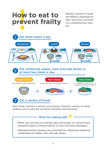### **How to eat to prevent frailty**

Eating a variety of foods and dishes is important to take essential nutrients in a comprehensive manner.



Each food contains a variety of nutrients. Eating a variety of foods enables you to take the essential nutrients omnivorously.

#### – When you are tired of cooking, take advantage of commercially prepared meals or food products in cans and retort packages. – Delivered lunches (*bentos*) are convenient for obtaining a balanced combination of staple, main and side dishes. Hints for eating well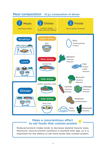#### Meal composition (E.g.) composition of dinner



#### Make a conscientious effort to eat foods that contain protein

Reduced protein intake tends to decrease skeletal muscle mass. Moreover, muscle protein synthesis is blunted with age, so it is important for the elderly to eat more foods that contain protein.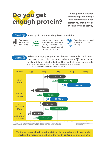### **Do you get enough protein?**

Do you get the required amount of protein daily? Let's confirm how much protein you should get by age and levels of activity.

#### $Check(1)$

You spend

Start by circling your daily level of activity.

day sitting

most of the

You spend a lot of time sitting or you do house -work, commute to office, go shopping, and do light sports, etc. Low Your Second Moderate Work, Commute to OI<sup>-</sup> High

You often move, stand at work and do sports activity.



Select your age group and sex below, then circle the icon for the level of activity you selected at check  $(1)$ . Your target protein intake is indicated on the right of icon you select.

(E.g.) If you are a male aged 65-74 with a moderate level of activity, your target protein intake is 90-120g a day.



\*Protein target is a reference value based on calculations using the reference body size, for Japanese. The reference body size is shown below: Men : 65-74 years (height 165.2 cm, weight 65.0 kg), and 75 years and older (height 160.8 cm, weight 59.6 kg) Women : 65-74 years (height 152.0 cm, weight 52.1 kg), and 75 years and older (height 148.0 cm, weight 48.8 kg)

\*If you have decreased kidney function or other health concerns, consult with your family doctor.

To find out more about target protein, or have problems with your diet, consult with a registered dietitian at the health center in your community.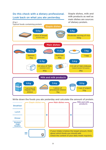

Write down the foods you ate yesterday and calculate the amount of protein.

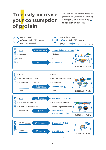### **To easily increase your consumption of protein**

You can easily compensate for protein in your usual diet by adding  $(+)$  or substituting  $\circlearrowleft$ ) foods rich in protein.



\*If you have decreased kidney function or other health concerns, consult with your family doctor.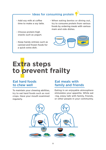#### Ideas for consuming protein

- Add soy milk at coffee time to make a soy latte.
- Choose protein-high snacks such as yogurt.
- Keep handy entrees such as canned and frozen foods for a quick extra dish.
- When eating *bentos* or dining out, try to consume protein from various foods by ordering meals with various main and side dishes.



## **Extra steps to prevent frailty**

#### Eat hard foods to chew well

To maintain your chewing abilities, try to eat hard foods such as root crops. Have your mouth examined regularly.

#### Eat meals with family and friends

Eating in an enjoyable atmosphere stimulates your appetite. While eat -ing, enjoy talk with family, friends, or other people in your community.